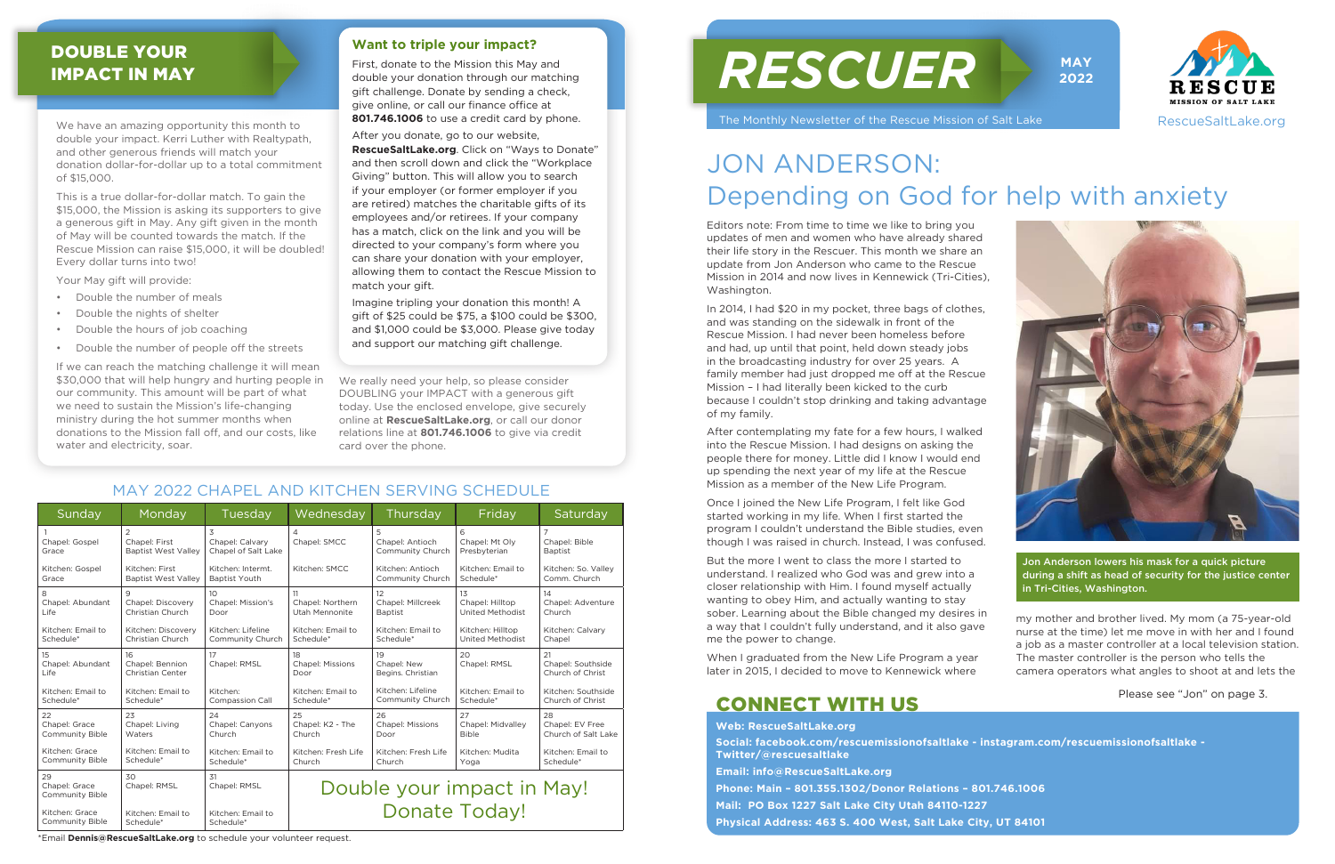We have an amazing opportunity this month to double your impact. Kerri Luther with Realtypath, and other generous friends will match your donation dollar-for-dollar up to a total commitment of \$15,000.

> Editors note: From time to time we like to bring you updates of men and women who have already shared their life story in the Rescuer. This month we share an update from Jon Anderson who came to the Rescue Mission in 2014 and now lives in Kennewick (Tri-Cities), Washington.

In 2014, I had \$20 in my pocket, three bags of clothes, and was standing on the sidewalk in front of the Rescue Mission. I had never been homeless before and had, up until that point, held down steady jobs in the broadcasting industry for over 25 years. A family member had just dropped me off at the Rescue Mission – I had literally been kicked to the curb because I couldn't stop drinking and taking advantage of my family.

After contemplating my fate for a few hours, I walked into the Rescue Mission. I had designs on asking the people there for money. Little did I know I would end up spending the next year of my life at the Rescue Mission as a member of the New Life Program.

Once I joined the New Life Program, I felt like God started working in my life. When I first started the program I couldn't understand the Bible studies, even though I was raised in church. Instead, I was confused.

But the more I went to class the more I started to understand. I realized who God was and grew into a closer relationship with Him. I found myself actually wanting to obey Him, and actually wanting to stay sober. Learning about the Bible changed my desires in a way that I couldn't fully understand, and it also gave me the power to change.

| Sunday                                 | Monday                                                        | Tuesday                                     | Wednesday                             | Thursday                                 | Friday                              | Saturday                                          |
|----------------------------------------|---------------------------------------------------------------|---------------------------------------------|---------------------------------------|------------------------------------------|-------------------------------------|---------------------------------------------------|
| Chapel: Gospel<br>Grace                | $\overline{2}$<br>Chapel: First<br><b>Baptist West Valley</b> | 3<br>Chapel: Calvary<br>Chapel of Salt Lake | 4<br>Chapel: SMCC                     | 5<br>Chapel: Antioch<br>Community Church | 6<br>Chapel: Mt Olv<br>Presbyterian | $\overline{7}$<br>Chapel: Bible<br><b>Baptist</b> |
| Kitchen: Gospel                        | Kitchen: First                                                | Kitchen: Intermt.                           | Kitchen: SMCC                         | Kitchen: Antioch                         | Kitchen: Email to                   | Kitchen: So. Vallev                               |
| Grace                                  | <b>Baptist West Valley</b>                                    | <b>Baptist Youth</b>                        |                                       | Community Church                         | Schedule*                           | Comm. Church                                      |
| 8                                      | $\mathsf{Q}$                                                  | 10                                          | 11                                    | 12                                       | 13                                  | 14                                                |
| Chapel: Abundant                       | Chapel: Discovery                                             | Chapel: Mission's                           | Chapel: Northern                      | Chapel: Millcreek                        | Chapel: Hilltop                     | Chapel: Adventure                                 |
| Life                                   | Christian Church                                              | Door                                        | Utah Mennonite                        | <b>Baptist</b>                           | <b>United Methodist</b>             | Church                                            |
| Kitchen: Email to                      | Kitchen: Discovery                                            | Kitchen: Lifeline                           | Kitchen: Email to                     | Kitchen: Email to                        | Kitchen: Hilltop                    | Kitchen: Calvary                                  |
| Schedule*                              | Christian Church                                              | Community Church                            | Schedule*                             | Schedule*                                | <b>United Methodist</b>             | Chapel                                            |
| 15<br>Chapel: Abundant<br>Life         | 16<br>Chapel: Bennion<br>Christian Center                     | 17<br>Chapel: RMSL                          | 18<br><b>Chapel: Missions</b><br>Door | 19<br>Chapel: New<br>Begins. Christian   | 20<br>Chapel: RMSL                  | 21<br>Chapel: Southside<br>Church of Christ       |
| Kitchen: Email to                      | Kitchen: Email to                                             | Kitchen:                                    | Kitchen: Email to                     | Kitchen: Lifeline                        | Kitchen: Email to                   | Kitchen: Southside                                |
| Schedule*                              | Schedule*                                                     | <b>Compassion Call</b>                      | Schedule*                             | Community Church                         | Schedule*                           | Church of Christ                                  |
| 22                                     | 23                                                            | 24                                          | 25                                    | 26                                       | 27                                  | 28                                                |
| Chapel: Grace                          | Chapel: Living                                                | Chapel: Canyons                             | Chapel: K2 - The                      | <b>Chapel: Missions</b>                  | Chapel: Midvalley                   | Chapel: EV Free                                   |
| Community Bible                        | Waters                                                        | Church                                      | Church                                | Door                                     | <b>Bible</b>                        | Church of Salt Lake                               |
| Kitchen: Grace                         | Kitchen: Email to                                             | Kitchen: Email to                           | Kitchen: Fresh Life                   | Kitchen: Fresh Life                      | Kitchen: Mudita                     | Kitchen: Email to                                 |
| Community Bible                        | Schedule*                                                     | Schedule*                                   | Church                                | Church                                   | Yoga                                | Schedule*                                         |
| 29<br>Chapel: Grace<br>Community Bible | 30<br>Chapel: RMSL                                            | 31<br>Chapel: RMSL                          | Double your impact in May!            |                                          |                                     |                                                   |
| Kitchen: Grace                         | Kitchen: Email to                                             | Kitchen: Email to                           | <b>Donate Today!</b>                  |                                          |                                     |                                                   |
| Community Bible                        | Schedule*                                                     | Schedule*                                   |                                       |                                          |                                     |                                                   |

When I graduated from the New Life Program a year later in 2015, I decided to move to Kennewick where

my mother and brother lived. My mom (a 75-year-old nurse at the time) let me move in with her and I found a job as a master controller at a local television station. The master controller is the person who tells the camera operators what angles to shoot at and lets the

## JON ANDERSON: Depending on God for help with anxiety

This is a true dollar-for-dollar match. To gain the \$15,000, the Mission is asking its supporters to give a generous gift in May. Any gift given in the month of May will be counted towards the match. If the Rescue Mission can raise \$15,000, it will be doubled! Every dollar turns into two!

Your May gift will provide:

- Double the number of meals
- Double the nights of shelter
- Double the hours of job coaching
- Double the number of people off the streets

If we can reach the matching challenge it will mean \$30,000 that will help hungry and hurting people in our community. This amount will be part of what we need to sustain the Mission's life-changing ministry during the hot summer months when donations to the Mission fall off, and our costs, like water and electricity, soar.

# *RESCUER*

The Monthly Newsletter of the Rescue Mission of Salt Lake







#### MAY 2022 CHAPEL AND KITCHEN SERVING SCHEDULE

Please see "Jon" on page 3.

Jon Anderson lowers his mask for a quick picture during a shift as head of security for the justice center in Tri-Cities, Washington.

#### DOUBLE YOUR IMPACT IN MAY

\*Email **Dennis@RescueSaltLake.org** to schedule your volunteer request.

We really need your help, so please consider DOUBLING your IMPACT with a generous gift today. Use the enclosed envelope, give securely online at **RescueSaltLake.org**, or call our donor relations line at **801.746.1006** to give via credit card over the phone.

**Web: RescueSaltLake.org**

**Social: facebook.com/rescuemissionofsaltlake - instagram.com/rescuemissionofsaltlake - Twitter/@rescuesaltlake**

**Email: info@RescueSaltLake.org**

**Phone: Main – 801.355.1302/Donor Relations – 801.746.1006 Mail: PO Box 1227 Salt Lake City Utah 84110-1227 Physical Address: 463 S. 400 West, Salt Lake City, UT 84101**

## CONNECT WITH US

#### **Want to triple your impact?**

First, donate to the Mission this May and double your donation through our matching gift challenge. Donate by sending a check, give online, or call our finance office at **801.746.1006** to use a credit card by phone.

After you donate, go to our website, **RescueSaltLake.org**. Click on "Ways to Donate" and then scroll down and click the "Workplace Giving" button. This will allow you to search if your employer (or former employer if you are retired) matches the charitable gifts of its employees and/or retirees. If your company has a match, click on the link and you will be directed to your company's form where you can share your donation with your employer, allowing them to contact the Rescue Mission to match your gift.

Imagine tripling your donation this month! A gift of \$25 could be \$75, a \$100 could be \$300, and \$1,000 could be \$3,000. Please give today and support our matching gift challenge.